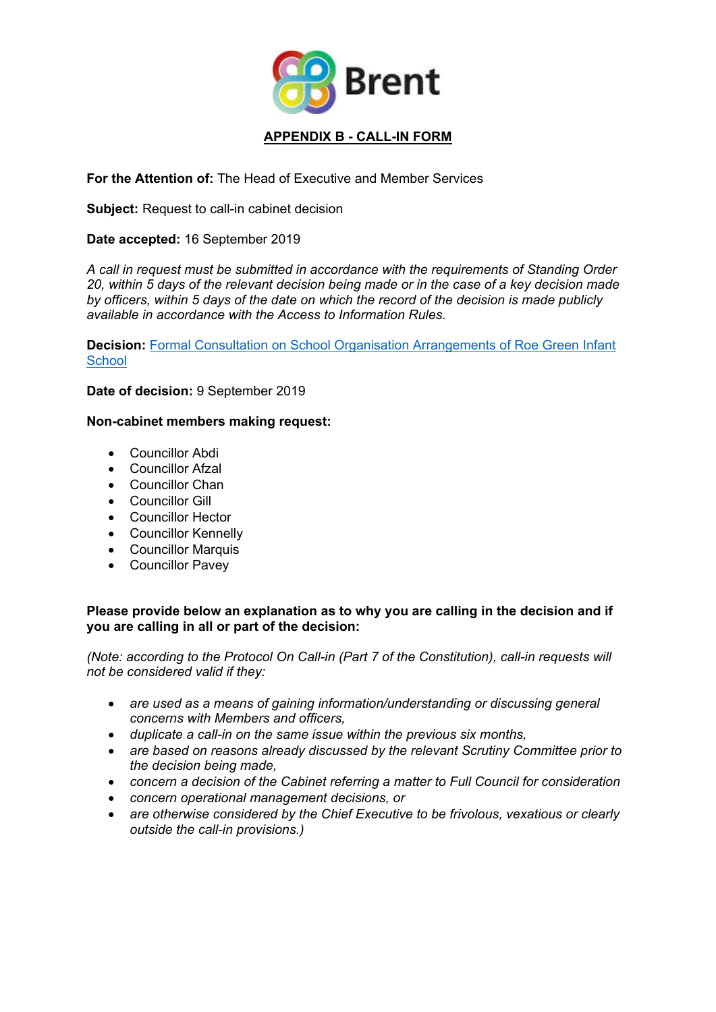

# **For the Attention of:** The Head of Executive and Member Services

**Subject:** Request to call-in cabinet decision

### **Date accepted:** 16 September 2019

*A call in request must be submitted in accordance with the requirements of Standing Order 20, within 5 days of the relevant decision being made or in the case of a key decision made by officers, within 5 days of the date on which the record of the decision is made publicly available in accordance with the Access to Information Rules.*

**Decision:** Formal Consultation on School Organisation [Arrangements](http://democracy.brent.gov.uk/ieDecisionDetails.aspx?ID=4727) of Roe Green Infant **[School](http://democracy.brent.gov.uk/ieDecisionDetails.aspx?ID=4727)** 

**Date of decision:** 9 September 2019

#### **Non-cabinet members making request:**

- Councillor Abdi
- Councillor Afzal
- Councillor Chan
- Councillor Gill
- Councillor Hector
- Councillor Kennelly
- Councillor Marquis
- Councillor Pavey

### **Please provide below an explanation as to why you are calling in the decision and if you are calling in all or part of the decision:**

*(Note: according to the Protocol On Call-in (Part 7 of the Constitution), call-in requests will not be considered valid if they:*

- *are used as a means of gaining information/understanding or discussing general concerns with Members and officers,*
- *duplicate a call-in on the same issue within the previous six months,*
- *are based on reasons already discussed by the relevant Scrutiny Committee prior to the decision being made,*
- *concern a decision of the Cabinet referring a matter to Full Council for consideration*
- *concern operational management decisions, or*
- *are otherwise considered by the Chief Executive to be frivolous, vexatious or clearly outside the call-in provisions.)*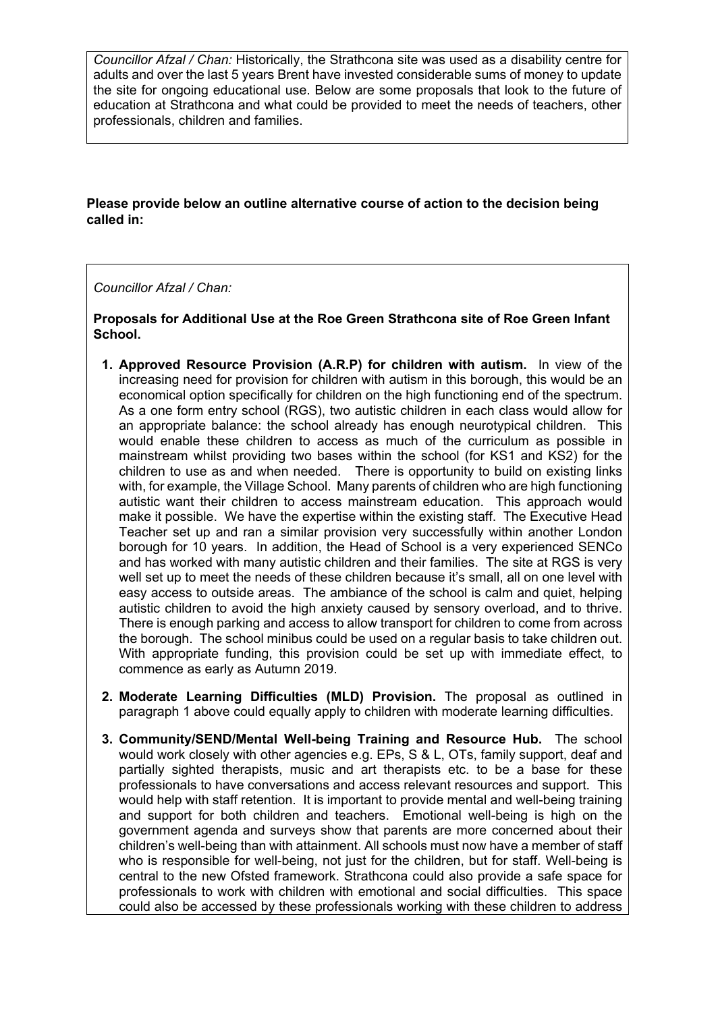*Councillor Afzal / Chan:* Historically, the Strathcona site was used as a disability centre for adults and over the last 5 years Brent have invested considerable sums of money to update the site for ongoing educational use. Below are some proposals that look to the future of education at Strathcona and what could be provided to meet the needs of teachers, other professionals, children and families.

# **Please provide below an outline alternative course of action to the decision being called in:**

## *Councillor Afzal / Chan:*

**Proposals for Additional Use at the Roe Green Strathcona site of Roe Green Infant School.**

- **1. Approved Resource Provision (A.R.P) for children with autism.** In view of the increasing need for provision for children with autism in this borough, this would be an economical option specifically for children on the high functioning end of the spectrum. As a one form entry school (RGS), two autistic children in each class would allow for an appropriate balance: the school already has enough neurotypical children. This would enable these children to access as much of the curriculum as possible in mainstream whilst providing two bases within the school (for KS1 and KS2) for the children to use as and when needed. There is opportunity to build on existing links with, for example, the Village School. Many parents of children who are high functioning autistic want their children to access mainstream education. This approach would make it possible. We have the expertise within the existing staff. The Executive Head Teacher set up and ran a similar provision very successfully within another London borough for 10 years. In addition, the Head of School is a very experienced SENCo and has worked with many autistic children and their families. The site at RGS is very well set up to meet the needs of these children because it's small, all on one level with easy access to outside areas. The ambiance of the school is calm and quiet, helping autistic children to avoid the high anxiety caused by sensory overload, and to thrive. There is enough parking and access to allow transport for children to come from across the borough. The school minibus could be used on a regular basis to take children out. With appropriate funding, this provision could be set up with immediate effect, to commence as early as Autumn 2019.
- **2. Moderate Learning Difficulties (MLD) Provision.** The proposal as outlined in paragraph 1 above could equally apply to children with moderate learning difficulties.
- **3. Community/SEND/Mental Well-being Training and Resource Hub.** The school would work closely with other agencies e.g. EPs, S & L, OTs, family support, deaf and partially sighted therapists, music and art therapists etc. to be a base for these professionals to have conversations and access relevant resources and support. This would help with staff retention. It is important to provide mental and well-being training and support for both children and teachers. Emotional well-being is high on the government agenda and surveys show that parents are more concerned about their children's well-being than with attainment. All schools must now have a member of staff who is responsible for well-being, not just for the children, but for staff. Well-being is central to the new Ofsted framework. Strathcona could also provide a safe space for professionals to work with children with emotional and social difficulties. This space could also be accessed by these professionals working with these children to address